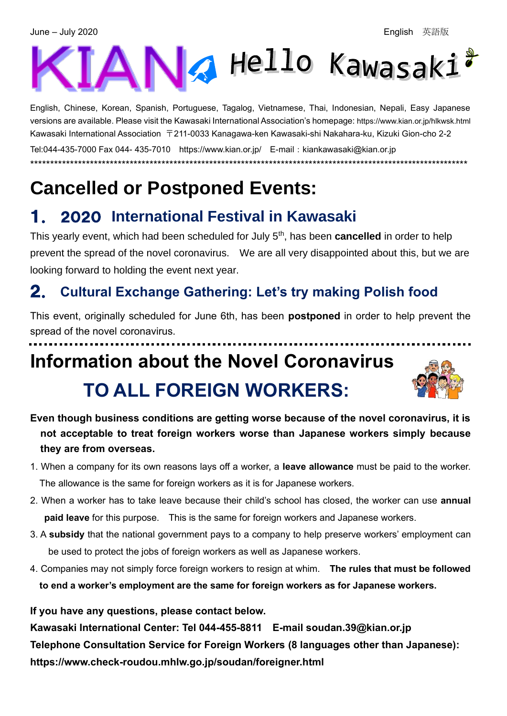# ANA Hello Kawasaki

English, Chinese, Korean, Spanish, Portuguese, Tagalog, Vietnamese, Thai, Indonesian, Nepali, Easy Japanese versions are available. Please visit the Kawasaki International Association's homepage: <https://www.kian.or.jp/hlkwsk.html> Kawasaki International Association 〒211-0033 Kanagawa-ken Kawasaki-shi Nakahara-ku, Kizuki Gion-cho 2-2 Tel:044-435-7000 Fax 044- 435-7010 <https://www.kian.or.jp/>E-mail:kiankawasaki@kian.or.jp \*\*\*\*\*\*\*\*\*\*\*\*\*\*\*\*\*\*\*\*\*\*\*\*\*\*\*\*\*\*\*\*\*\*\*\*\*\*\*\*\*\*\*\*\*\*\*\*\*\*\*\*\*\*\*\*\*\*\*\*\*\*\*\*\*\*\*\*\*\*\*\*\*\*\*\*\*\*\*\*\*\*\*\*\*\*\*\*\*\*\*\*\*\*\*\*\*\*\*\*\*\*\*\*\*\*\*\*\*\*

# **Cancelled or Postponed Events:**

## 1. 2020 **International Festival in Kawasaki**

This yearly event, which had been scheduled for July 5th , has been **cancelled** in order to help prevent the spread of the novel coronavirus. We are all very disappointed about this, but we are looking forward to holding the event next year.

### 2. **Cultural Exchange Gathering: Let's try making Polish food**

This event, originally scheduled for June 6th, has been **postponed** in order to help prevent the spread of the novel coronavirus.

# **Information about the Novel Coronavirus TO ALL FOREIGN WORKERS:**



- **Even though business conditions are getting worse because of the novel coronavirus, it is not acceptable to treat foreign workers worse than Japanese workers simply because they are from overseas.**
- 1. When a company for its own reasons lays off a worker, a **leave allowance** must be paid to the worker. The allowance is the same for foreign workers as it is for Japanese workers.
- 2. When a worker has to take leave because their child's school has closed, the worker can use **annual paid leave** for this purpose. This is the same for foreign workers and Japanese workers.
- 3. A **subsidy** that the national government pays to a company to help preserve workers' employment can be used to protect the jobs of foreign workers as well as Japanese workers.
- 4. Companies may not simply force foreign workers to resign at whim. **The rules that must be followed to end a worker's employment are the same for foreign workers as for Japanese workers.**

**If you have any questions, please contact below.**

**Kawasaki International Center: Tel 044-455-8811 E-mail soudan.39@kian.or.jp Telephone Consultation Service for Foreign Workers (8 languages other than Japanese): https://www.check-roudou.mhlw.go.jp/soudan/foreigner.html**